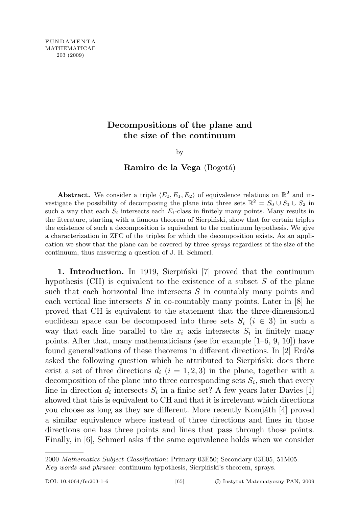## Decompositions of the plane and the size of the continuum

by

Ramiro de la Vega (Bogotá)

**Abstract.** We consider a triple  $\langle E_0, E_1, E_2 \rangle$  of equivalence relations on  $\mathbb{R}^2$  and investigate the possibility of decomposing the plane into three sets  $\mathbb{R}^2 = S_0 \cup S_1 \cup S_2$  in such a way that each  $S_i$  intersects each  $E_i$ -class in finitely many points. Many results in the literature, starting with a famous theorem of Sierpinski, show that for certain triples the existence of such a decomposition is equivalent to the continuum hypothesis. We give a characterization in ZFC of the triples for which the decomposition exists. As an application we show that the plane can be covered by three sprays regardless of the size of the continuum, thus answering a question of J. H. Schmerl.

1. Introduction. In 1919, Sierpinski [7] proved that the continuum hypothesis  $(CH)$  is equivalent to the existence of a subset S of the plane such that each horizontal line intersects  $S$  in countably many points and each vertical line intersects  $S$  in co-countably many points. Later in  $[8]$  he proved that CH is equivalent to the statement that the three-dimensional euclidean space can be decomposed into three sets  $S_i$  ( $i \in 3$ ) in such a way that each line parallel to the  $x_i$  axis intersects  $S_i$  in finitely many points. After that, many mathematicians (see for example  $[1-6, 9, 10]$ ) have found generalizations of these theorems in different directions. In  $[2]$  Erdős asked the following question which he attributed to Sierpinski: does there exist a set of three directions  $d_i$   $(i = 1, 2, 3)$  in the plane, together with a decomposition of the plane into three corresponding sets  $S_i$ , such that every line in direction  $d_i$  intersects  $S_i$  in a finite set? A few years later Davies [1] showed that this is equivalent to CH and that it is irrelevant which directions you choose as long as they are different. More recently Komjáth [4] proved a similar equivalence where instead of three directions and lines in those directions one has three points and lines that pass through those points. Finally, in [6], Schmerl asks if the same equivalence holds when we consider

<sup>2000</sup> Mathematics Subject Classification: Primary 03E50; Secondary 03E05, 51M05. Key words and phrases: continuum hypothesis, Sierpiński's theorem, sprays.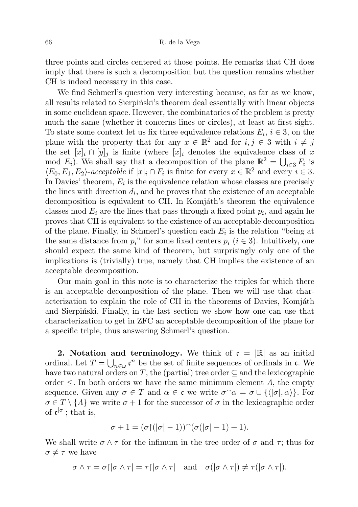three points and circles centered at those points. He remarks that CH does imply that there is such a decomposition but the question remains whether CH is indeed necessary in this case.

We find Schmerl's question very interesting because, as far as we know, all results related to Sierpinski's theorem deal essentially with linear objects in some euclidean space. However, the combinatorics of the problem is pretty much the same (whether it concerns lines or circles), at least at first sight. To state some context let us fix three equivalence relations  $E_i$ ,  $i \in 3$ , on the plane with the property that for any  $x \in \mathbb{R}^2$  and for  $i, j \in \mathcal{S}$  with  $i \neq j$ the set  $[x]_i \cap [y]_j$  is finite (where  $[x]_i$  denotes the equivalence class of x mod  $E_i$ ). We shall say that a decomposition of the plane  $\mathbb{R}^2 = \bigcup_{i \in \mathcal{S}} F_i$  is  $\langle E_0, E_1, E_2 \rangle$ -acceptable if  $[x]_i \cap F_i$  is finite for every  $x \in \mathbb{R}^2$  and every  $i \in 3$ . In Davies' theorem,  $E_i$  is the equivalence relation whose classes are precisely the lines with direction  $d_i$ , and he proves that the existence of an acceptable decomposition is equivalent to CH. In Komjáth's theorem the equivalence classes mod  $E_i$  are the lines that pass through a fixed point  $p_i$ , and again he proves that CH is equivalent to the existence of an acceptable decomposition of the plane. Finally, in Schmerl's question each  $E_i$  is the relation "being at the same distance from  $p_i$ " for some fixed centers  $p_i$  ( $i \in 3$ ). Intuitively, one should expect the same kind of theorem, but surprisingly only one of the implications is (trivially) true, namely that CH implies the existence of an acceptable decomposition.

Our main goal in this note is to characterize the triples for which there is an acceptable decomposition of the plane. Then we will use that characterization to explain the role of CH in the theorems of Davies, Komjáth and Sierpinski. Finally, in the last section we show how one can use that characterization to get in ZFC an acceptable decomposition of the plane for a specific triple, thus answering Schmerl's question.

**2.** Notation and terminology. We think of  $\mathfrak{c} = |\mathbb{R}|$  as an initial ordinal. Let  $T = \bigcup_{n \in \omega} \mathfrak{c}^n$  be the set of finite sequences of ordinals in  $\mathfrak{c}$ . We have two natural orders on T, the (partial) tree order  $\subseteq$  and the lexicographic order  $\leq$ . In both orders we have the same minimum element  $\Lambda$ , the empty sequence. Given any  $\sigma \in T$  and  $\alpha \in \mathfrak{c}$  we write  $\sigma \hat{\;} \alpha = \sigma \cup \{ \langle |\sigma|, \alpha \rangle \}$ . For  $\sigma \in T \setminus \{A\}$  we write  $\sigma + 1$  for the successor of  $\sigma$  in the lexicographic order of  $\mathfrak{c}^{|\sigma|}$ ; that is,

$$
\sigma + 1 = (\sigma \upharpoonright (|\sigma| - 1))^{\frown} (\sigma (|\sigma| - 1) + 1).
$$

We shall write  $\sigma \wedge \tau$  for the infimum in the tree order of  $\sigma$  and  $\tau$ ; thus for  $\sigma \neq \tau$  we have

$$
\sigma \wedge \tau = \sigma \upharpoonright |\sigma \wedge \tau| = \tau \upharpoonright |\sigma \wedge \tau| \quad \text{and} \quad \sigma(|\sigma \wedge \tau|) \neq \tau(|\sigma \wedge \tau|).
$$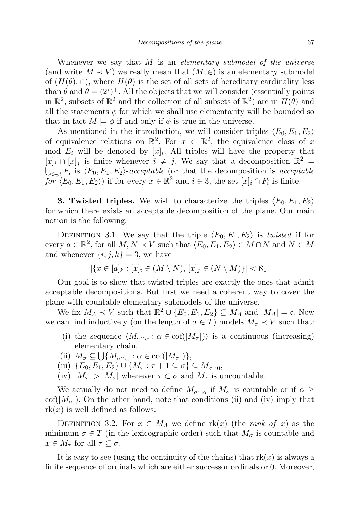Whenever we say that  $M$  is an *elementary submodel of the universe* (and write  $M \prec V$ ) we really mean that  $(M, \in)$  is an elementary submodel of  $(H(\theta), \in)$ , where  $H(\theta)$  is the set of all sets of hereditary cardinality less than  $\theta$  and  $\theta = (2^c)^+$ . All the objects that we will consider (essentially points in  $\mathbb{R}^2$ , subsets of  $\mathbb{R}^2$  and the collection of all subsets of  $\mathbb{R}^2$ ) are in  $H(\theta)$  and all the statements  $\phi$  for which we shall use elementarity will be bounded so that in fact  $M \models \phi$  if and only if  $\phi$  is true in the universe.

As mentioned in the introduction, we will consider triples  $\langle E_0, E_1, E_2 \rangle$ of equivalence relations on  $\mathbb{R}^2$ . For  $x \in \mathbb{R}^2$ , the equivalence class of x mod  $E_i$  will be denoted by  $[x]_i$ . All triples will have the property that [x]<sub>i</sub> ∩ [x]<sub>j</sub> is finite whenever  $i \neq j$ . We say that a decomposition  $\mathbb{R}^2$  =  $\bigcup_{i\in\Im} F_i$  is  $\langle E_0, E_1, E_2 \rangle$ -acceptable (or that the decomposition is acceptable for  $\langle E_0, E_1, E_2 \rangle$  if for every  $x \in \mathbb{R}^2$  and  $i \in \mathcal{S}$ , the set  $[x]_i \cap F_i$  is finite.

**3. Twisted triples.** We wish to characterize the triples  $\langle E_0, E_1, E_2 \rangle$ for which there exists an acceptable decomposition of the plane. Our main notion is the following:

DEFINITION 3.1. We say that the triple  $\langle E_0, E_1, E_2 \rangle$  is twisted if for every  $a \in \mathbb{R}^2$ , for all  $M, N \prec V$  such that  $\langle E_0, E_1, E_2 \rangle \in M \cap N$  and  $N \in M$ and whenever  $\{i, j, k\} = 3$ , we have

$$
|\{x \in [a]_k : [x]_i \in (M \setminus N), [x]_j \in (N \setminus M)\}| < \aleph_0.
$$

Our goal is to show that twisted triples are exactly the ones that admit acceptable decompositions. But first we need a coherent way to cover the plane with countable elementary submodels of the universe.

We fix  $M_A \prec V$  such that  $\mathbb{R}^2 \cup \{E_0, E_1, E_2\} \subseteq M_A$  and  $|M_A| = \mathfrak{c}$ . Now we can find inductively (on the length of  $\sigma \in T$ ) models  $M_{\sigma} \prec V$  such that:

- (i) the sequence  $\langle M_{\sigma^{\frown}\alpha} : \alpha \in \text{cof}(|M_{\sigma}|) \rangle$  is a continuous (increasing) elementary chain,
- (ii)  $M_{\sigma} \subseteq \bigcup \{ M_{\sigma \cap \alpha} : \alpha \in \text{cof}(|M_{\sigma}|) \},\$
- (iii)  $\{E_0, E_1, E_2\} \cup \{M_\tau : \tau + 1 \subseteq \sigma\} \subseteq M_{\sigma^\frown 0},$
- (iv)  $|M_{\tau}| > |M_{\sigma}|$  whenever  $\tau \subset \sigma$  and  $M_{\tau}$  is uncountable.

We actually do not need to define  $M_{\sigma^{\frown}\alpha}$  if  $M_{\sigma}$  is countable or if  $\alpha \geq$  $\text{cof}(|M_{\sigma}|)$ . On the other hand, note that conditions (ii) and (iv) imply that  $rk(x)$  is well defined as follows:

DEFINITION 3.2. For  $x \in M_A$  we define rk(x) (the *rank of x*) as the minimum  $\sigma \in T$  (in the lexicographic order) such that  $M_{\sigma}$  is countable and  $x \in M_{\tau}$  for all  $\tau \subseteq \sigma$ .

It is easy to see (using the continuity of the chains) that  $rk(x)$  is always a finite sequence of ordinals which are either successor ordinals or 0. Moreover,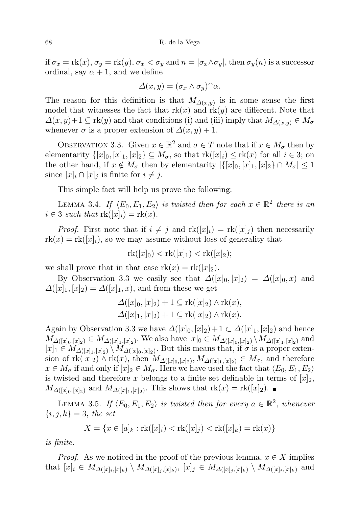if  $\sigma_x = \text{rk}(x)$ ,  $\sigma_y = \text{rk}(y)$ ,  $\sigma_x < \sigma_y$  and  $n = |\sigma_x \wedge \sigma_y|$ , then  $\sigma_y(n)$  is a successor ordinal, say  $\alpha + 1$ , and we define

$$
\Delta(x,y) = (\sigma_x \wedge \sigma_y)^\wedge \alpha.
$$

The reason for this definition is that  $M_{\Delta(x,y)}$  is in some sense the first model that witnesses the fact that  $rk(x)$  and  $rk(y)$  are different. Note that  $\Delta(x, y)+1 \subseteq \text{rk}(y)$  and that conditions (i) and (iii) imply that  $M_{\Delta(x,y)} \in M_{\sigma}$ whenever  $\sigma$  is a proper extension of  $\Delta(x, y) + 1$ .

OBSERVATION 3.3. Given  $x \in \mathbb{R}^2$  and  $\sigma \in T$  note that if  $x \in M_{\sigma}$  then by elementarity  $\{[x]_0, [x]_1, [x]_2\} \subseteq M_\sigma$ , so that  $\text{rk}([x]_i) \leq \text{rk}(x)$  for all  $i \in 3$ ; on the other hand, if  $x \notin M_{\sigma}$  then by elementarity  $|\{[x]_0, [x]_1, [x]_2\} \cap M_{\sigma}| \leq 1$ since  $[x]_i \cap [x]_j$  is finite for  $i \neq j$ .

This simple fact will help us prove the following:

LEMMA 3.4. If  $\langle E_0, E_1, E_2 \rangle$  is twisted then for each  $x \in \mathbb{R}^2$  there is an  $i \in 3$  such that  $\text{rk}([x]_i) = \text{rk}(x)$ .

*Proof.* First note that if  $i \neq j$  and  $rk([x]_i) = rk([x]_j)$  then necessarily  $rk(x) = rk([x]_i)$ , so we may assume without loss of generality that

$$
rk([x]_0) < rk([x]_1) < rk([x]_2);
$$

we shall prove that in that case  $rk(x) = rk([x]_2)$ .

By Observation 3.3 we easily see that  $\Delta([x]_0, [x]_2) = \Delta([x]_0, x)$  and  $\Delta([x]_1,[x]_2) = \Delta([x]_1,x)$ , and from these we get

$$
\Delta([x]_0, [x]_2) + 1 \subseteq \mathrm{rk}([x]_2) \wedge \mathrm{rk}(x),
$$
  

$$
\Delta([x]_1, [x]_2) + 1 \subseteq \mathrm{rk}([x]_2) \wedge \mathrm{rk}(x).
$$

Again by Observation 3.3 we have  $\Delta([x]_0, [x]_2)+1 \subset \Delta([x]_1, [x]_2)$  and hence  $M_{\Delta([x]_0,[x]_2)} \in M_{\Delta([x]_1,[x]_2)}$ . We also have  $[x]_0 \in M_{\Delta([x]_0,[x]_2)} \setminus M_{\Delta([x]_1,[x]_2)}$  and  $[x]_1 \in M_{\Delta([x]_1,[x]_2)} \setminus M_{\Delta([x]_0,[x]_2)}$ . But this means that, if  $\sigma$  is a proper extension of  $\text{rk}([x]_2) \wedge \text{rk}(x)$ , then  $M_{\Delta([x]_0,[x]_2)}$ ,  $M_{\Delta([x]_1,[x]_2)} \in M_{\sigma}$ , and therefore  $x \in M_{\sigma}$  if and only if  $[x]_2 \in M_{\sigma}$ . Here we have used the fact that  $\langle E_0, E_1, E_2 \rangle$ is twisted and therefore x belongs to a finite set definable in terms of  $[x]_2$ ,  $M_{\Delta([x]_0,[x]_2)}$  and  $M_{\Delta([x]_1,[x]_2)}$ . This shows that  $rk(x) = rk([x]_2)$ .

LEMMA 3.5. If  $\langle E_0, E_1, E_2 \rangle$  is twisted then for every  $a \in \mathbb{R}^2$ , whenever  ${i, j, k} = 3$ , the set

$$
X = \{x \in [a]_k : \text{rk}([x]_i) < \text{rk}([x]_j) < \text{rk}([x]_k) = \text{rk}(x)\}
$$

is finite.

*Proof.* As we noticed in the proof of the previous lemma,  $x \in X$  implies that  $[x]_i \in M_{\Delta([x]_i,[x]_k)} \setminus M_{\Delta([x]_j,[x]_k)}$ ,  $[x]_j \in M_{\Delta([x]_j,[x]_k)} \setminus M_{\Delta([x]_i,[x]_k)}$  and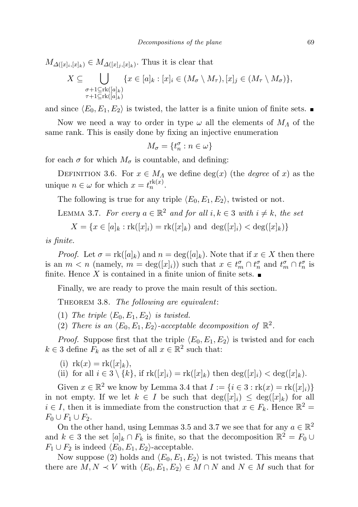$M_{\Delta([x]_i,[x]_k)} \in M_{\Delta([x]_j,[x]_k)}$ . Thus it is clear that

$$
X \subseteq \bigcup_{\substack{\sigma+1 \subseteq \text{rk}([a]_k) \\ \tau+1 \subseteq \text{rk}([a]_k)}} \{x \in [a]_k : [x]_i \in (M_\sigma \setminus M_\tau), [x]_j \in (M_\tau \setminus M_\sigma)\},\
$$

and since  $\langle E_0, E_1, E_2 \rangle$  is twisted, the latter is a finite union of finite sets.

Now we need a way to order in type  $\omega$  all the elements of  $M_A$  of the same rank. This is easily done by fixing an injective enumeration

$$
M_\sigma=\{t_n^\sigma:n\in\omega\}
$$

for each  $\sigma$  for which  $M_{\sigma}$  is countable, and defining:

DEFINITION 3.6. For  $x \in M_A$  we define  $deg(x)$  (the *degree* of x) as the unique  $n \in \omega$  for which  $x = t_n^{\text{rk}(x)}$ .

The following is true for any triple  $\langle E_0, E_1, E_2 \rangle$ , twisted or not.

LEMMA 3.7. For every  $a \in \mathbb{R}^2$  and for all  $i, k \in \mathcal{S}$  with  $i \neq k$ , the set

$$
X = \{ x \in [a]_k : \text{rk}([x]_i) = \text{rk}([x]_k) \text{ and } \deg([x]_i) < \deg([x]_k) \}
$$

is finite.

*Proof.* Let  $\sigma = \text{rk}([a]_k)$  and  $n = \text{deg}([a]_k)$ . Note that if  $x \in X$  then there is an  $m < n$  (namely,  $m = \deg([x]_i)$ ) such that  $x \in t_m^{\sigma} \cap t_n^{\sigma}$  and  $t_m^{\sigma} \cap t_n^{\sigma}$  is finite. Hence X is contained in a finite union of finite sets.  $\blacksquare$ 

Finally, we are ready to prove the main result of this section.

THEOREM 3.8. The following are equivalent:

- (1) The triple  $\langle E_0, E_1, E_2 \rangle$  is twisted.
- (2) There is an  $\langle E_0, E_1, E_2 \rangle$ -acceptable decomposition of  $\mathbb{R}^2$ .

*Proof.* Suppose first that the triple  $\langle E_0, E_1, E_2 \rangle$  is twisted and for each  $k \in \mathcal{S}$  define  $F_k$  as the set of all  $x \in \mathbb{R}^2$  such that:

(i)  $rk(x) = rk([x]_k)$ ,

(ii) for all  $i \in 3 \setminus \{k\}$ , if  $\text{rk}([x]_i) = \text{rk}([x]_k)$  then  $\text{deg}([x]_i) < \text{deg}([x]_k)$ .

Given  $x \in \mathbb{R}^2$  we know by Lemma 3.4 that  $I := \{i \in 3 : \text{rk}(x) = \text{rk}([x]_i)\}\$ in not empty. If we let  $k \in I$  be such that  $\deg([x]_i) \leq \deg([x]_k)$  for all  $i \in I$ , then it is immediate from the construction that  $x \in F_k$ . Hence  $\mathbb{R}^2 =$  $F_0 \cup F_1 \cup F_2$ .

On the other hand, using Lemmas 3.5 and 3.7 we see that for any  $a \in \mathbb{R}^2$ and  $k \in \{3\}$  the set  $[a]_k \cap F_k$  is finite, so that the decomposition  $\mathbb{R}^2 = F_0 \cup$  $F_1 \cup F_2$  is indeed  $\langle E_0, E_1, E_2 \rangle$ -acceptable.

Now suppose (2) holds and  $\langle E_0, E_1, E_2 \rangle$  is not twisted. This means that there are  $M, N \prec V$  with  $\langle E_0, E_1, E_2 \rangle \in M \cap N$  and  $N \in M$  such that for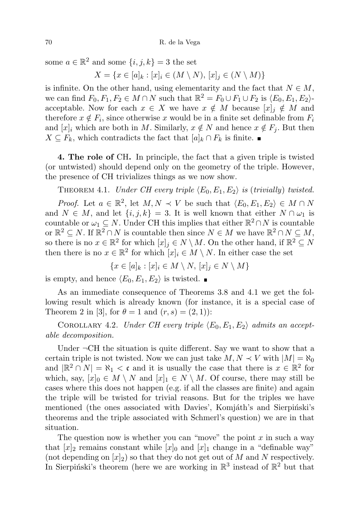some  $a \in \mathbb{R}^2$  and some  $\{i, j, k\} = 3$  the set

$$
X = \{ x \in [a]_k : [x]_i \in (M \setminus N), [x]_j \in (N \setminus M) \}
$$

is infinite. On the other hand, using elementarity and the fact that  $N \in M$ , we can find  $F_0, F_1, F_2 \in M \cap N$  such that  $\mathbb{R}^2 = F_0 \cup F_1 \cup F_2$  is  $\langle E_0, E_1, E_2 \rangle$ acceptable. Now for each  $x \in X$  we have  $x \notin M$  because  $[x]_i \notin M$  and therefore  $x \notin F_i$ , since otherwise x would be in a finite set definable from  $F_i$ and  $[x]_i$  which are both in M. Similarly,  $x \notin N$  and hence  $x \notin F_i$ . But then  $X \subseteq F_k$ , which contradicts the fact that  $[a]_k \cap F_k$  is finite.

4. The role of CH. In principle, the fact that a given triple is twisted (or untwisted) should depend only on the geometry of the triple. However, the presence of CH trivializes things as we now show.

THEOREM 4.1. Under CH every triple  $\langle E_0, E_1, E_2 \rangle$  is (trivially) twisted.

*Proof.* Let  $a \in \mathbb{R}^2$ , let  $M, N \prec V$  be such that  $\langle E_0, E_1, E_2 \rangle \in M \cap N$ and  $N \in M$ , and let  $\{i, j, k\} = 3$ . It is well known that either  $N \cap \omega_1$  is countable or  $\omega_1 \subseteq N$ . Under CH this implies that either  $\mathbb{R}^2 \cap N$  is countable or  $\mathbb{R}^2 \subseteq N$ . If  $\mathbb{R}^2 \cap N$  is countable then since  $N \in M$  we have  $\mathbb{R}^2 \cap N \subseteq M$ , so there is no  $x \in \mathbb{R}^2$  for which  $[x]_j \in N \setminus M$ . On the other hand, if  $\mathbb{R}^2 \subseteq N$ then there is no  $x \in \mathbb{R}^2$  for which  $[x]_i \in M \setminus N$ . In either case the set

$$
\{x \in [a]_k : [x]_i \in M \setminus N, [x]_j \in N \setminus M\}
$$

is empty, and hence  $\langle E_0, E_1, E_2 \rangle$  is twisted.

As an immediate consequence of Theorems 3.8 and 4.1 we get the following result which is already known (for instance, it is a special case of Theorem 2 in [3], for  $\theta = 1$  and  $(r, s) = (2, 1)$ :

COROLLARY 4.2. Under CH every triple  $\langle E_0, E_1, E_2 \rangle$  admits an acceptable decomposition.

Under  $\neg$ CH the situation is quite different. Say we want to show that a certain triple is not twisted. Now we can just take  $M, N \prec V$  with  $|M| = \aleph_0$ and  $|\mathbb{R}^2 \cap N| = \aleph_1 < \mathfrak{c}$  and it is usually the case that there is  $x \in \mathbb{R}^2$  for which, say,  $[x]_0 \in M \setminus N$  and  $[x]_1 \in N \setminus M$ . Of course, there may still be cases where this does not happen (e.g. if all the classes are finite) and again the triple will be twisted for trivial reasons. But for the triples we have mentioned (the ones associated with Davies', Komjáth's and Sierpiński's theorems and the triple associated with Schmerl's question) we are in that situation.

The question now is whether you can "move" the point  $x$  in such a way that  $[x]_2$  remains constant while  $[x]_0$  and  $[x]_1$  change in a "definable way" (not depending on  $[x]_2$ ) so that they do not get out of M and N respectively. In Sierpiński's theorem (here we are working in  $\mathbb{R}^3$  instead of  $\mathbb{R}^2$  but that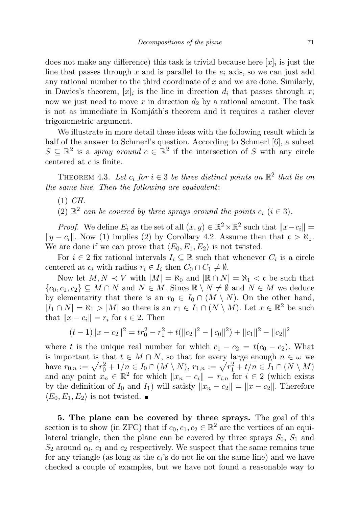does not make any difference) this task is trivial because here  $[x]_i$  is just the line that passes through x and is parallel to the  $e_i$  axis, so we can just add any rational number to the third coordinate of  $x$  and we are done. Similarly, in Davies's theorem,  $[x]_i$  is the line in direction  $d_i$  that passes through x; now we just need to move x in direction  $d_2$  by a rational amount. The task is not as immediate in Komjáth's theorem and it requires a rather clever trigonometric argument.

We illustrate in more detail these ideas with the following result which is half of the answer to Schmerl's question. According to Schmerl [6], a subset  $S \subseteq \mathbb{R}^2$  is a spray around  $c \in \mathbb{R}^2$  if the intersection of S with any circle centered at c is finite.

THEOREM 4.3. Let  $c_i$  for  $i \in 3$  be three distinct points on  $\mathbb{R}^2$  that lie on the same line. Then the following are equivalent:

- $(1)$  *CH*.
- (2)  $\mathbb{R}^2$  can be covered by three sprays around the points  $c_i$  ( $i \in 3$ ).

*Proof.* We define  $E_i$  as the set of all  $(x, y) \in \mathbb{R}^2 \times \mathbb{R}^2$  such that  $||x - c_i|| =$  $||y - c_i||$ . Now (1) implies (2) by Corollary 4.2. Assume then that  $\mathfrak{c} > \aleph_1$ . We are done if we can prove that  $\langle E_0, E_1, E_2 \rangle$  is not twisted.

For  $i \in 2$  fix rational intervals  $I_i \subseteq \mathbb{R}$  such that whenever  $C_i$  is a circle centered at  $c_i$  with radius  $r_i \in I_i$  then  $C_0 \cap C_1 \neq \emptyset$ .

Now let  $M, N \prec V$  with  $|M| = \aleph_0$  and  $|\mathbb{R} \cap N| = \aleph_1 < \mathfrak{c}$  be such that  ${c_0, c_1, c_2} \subseteq M \cap N$  and  $N \in M$ . Since  $\mathbb{R} \setminus N \neq \emptyset$  and  $N \in M$  we deduce by elementarity that there is an  $r_0 \in I_0 \cap (M \setminus N)$ . On the other hand,  $|I_1 \cap N| = \aleph_1 > |M|$  so there is an  $r_1 \in I_1 \cap (N \setminus M)$ . Let  $x \in \mathbb{R}^2$  be such that  $||x - c_i|| = r_i$  for  $i \in 2$ . Then

$$
(t-1)||x - c_2||^2 = tr_0^2 - r_1^2 + t(||c_2||^2 - ||c_0||^2) + ||c_1||^2 - ||c_2||^2
$$

where t is the unique real number for which  $c_1 - c_2 = t(c_0 - c_2)$ . What is important is that  $t \in M \cap N$ , so that for every large enough  $n \in \omega$  we have  $r_{0,n} := \sqrt{r_0^2 + 1/n} \in I_0 \cap (M \setminus N), r_{1,n} := \sqrt{r_1^2 + t/n} \in I_1 \cap (N \setminus M)$ and any point  $x_n \in \mathbb{R}^2$  for which  $||x_n - c_i|| = r_{i,n}$  for  $i \in 2$  (which exists by the definition of  $I_0$  and  $I_1$ ) will satisfy  $||x_n - c_2|| = ||x - c_2||$ . Therefore  $\langle E_0, E_1, E_2 \rangle$  is not twisted.

5. The plane can be covered by three sprays. The goal of this section is to show (in ZFC) that if  $c_0, c_1, c_2 \in \mathbb{R}^2$  are the vertices of an equilateral triangle, then the plane can be covered by three sprays  $S_0$ ,  $S_1$  and  $S_2$  around  $c_0$ ,  $c_1$  and  $c_2$  respectively. We suspect that the same remains true for any triangle (as long as the  $c_i$ 's do not lie on the same line) and we have checked a couple of examples, but we have not found a reasonable way to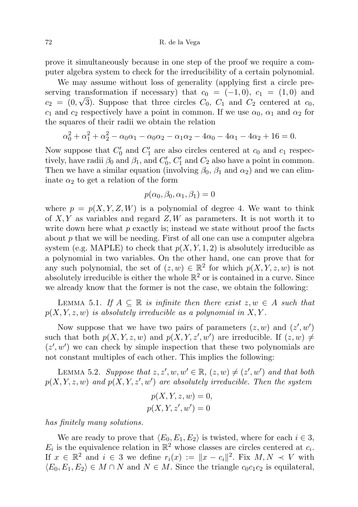72 R. de la Vega

prove it simultaneously because in one step of the proof we require a computer algebra system to check for the irreducibility of a certain polynomial.

We may assume without loss of generality (applying first a circle preserving transformation if necessary) that  $c_0 = (-1, 0), c_1 = (1, 0)$  and  $c_2 = (0, \sqrt{3})$ . Suppose that three circles  $C_0$ ,  $C_1$  and  $C_2$  centered at  $c_0$ ,  $c_1$  and  $c_2$  respectively have a point in common. If we use  $\alpha_0$ ,  $\alpha_1$  and  $\alpha_2$  for the squares of their radii we obtain the relation

$$
\alpha_0^2 + \alpha_1^2 + \alpha_2^2 - \alpha_0 \alpha_1 - \alpha_0 \alpha_2 - \alpha_1 \alpha_2 - 4\alpha_0 - 4\alpha_1 - 4\alpha_2 + 16 = 0.
$$

Now suppose that  $C'_0$  and  $C'_1$  are also circles centered at  $c_0$  and  $c_1$  respectively, have radii  $\beta_0$  and  $\beta_1$ , and  $C'_0$ ,  $C'_1$  and  $C_2$  also have a point in common. Then we have a similar equation (involving  $\beta_0$ ,  $\beta_1$  and  $\alpha_2$ ) and we can eliminate  $\alpha_2$  to get a relation of the form

$$
p(\alpha_0, \beta_0, \alpha_1, \beta_1) = 0
$$

where  $p = p(X, Y, Z, W)$  is a polynomial of degree 4. We want to think of  $X, Y$  as variables and regard  $Z, W$  as parameters. It is not worth it to write down here what  $p$  exactly is; instead we state without proof the facts about  $p$  that we will be needing. First of all one can use a computer algebra system (e.g. MAPLE) to check that  $p(X, Y, 1, 2)$  is absolutely irreducible as a polynomial in two variables. On the other hand, one can prove that for any such polynomial, the set of  $(z, w) \in \mathbb{R}^2$  for which  $p(X, Y, z, w)$  is not absolutely irreducible is either the whole  $\mathbb{R}^2$  or is contained in a curve. Since we already know that the former is not the case, we obtain the following:

LEMMA 5.1. If  $A \subseteq \mathbb{R}$  is infinite then there exist  $z, w \in A$  such that  $p(X, Y, z, w)$  is absolutely irreducible as a polynomial in X, Y.

Now suppose that we have two pairs of parameters  $(z, w)$  and  $(z', w')$ such that both  $p(X, Y, z, w)$  and  $p(X, Y, z', w')$  are irreducible. If  $(z, w) \neq$  $(z', w')$  we can check by simple inspection that these two polynomials are not constant multiples of each other. This implies the following:

LEMMA 5.2. Suppose that  $z, z', w, w' \in \mathbb{R}, (z, w) \neq (z', w')$  and that both  $p(X, Y, z, w)$  and  $p(X, Y, z', w')$  are absolutely irreducible. Then the system

$$
p(X, Y, z, w) = 0,
$$
  

$$
p(X, Y, z', w') = 0
$$

has finitely many solutions.

We are ready to prove that  $\langle E_0, E_1, E_2 \rangle$  is twisted, where for each  $i \in 3$ ,  $E_i$  is the equivalence relation in  $\mathbb{R}^2$  whose classes are circles centered at  $c_i$ . If  $x \in \mathbb{R}^2$  and  $i \in \mathcal{S}$  we define  $r_i(x) := \|x - c_i\|^2$ . Fix  $M, N \prec V$  with  $\langle E_0, E_1, E_2 \rangle \in M \cap N$  and  $N \in M$ . Since the triangle  $c_0c_1c_2$  is equilateral,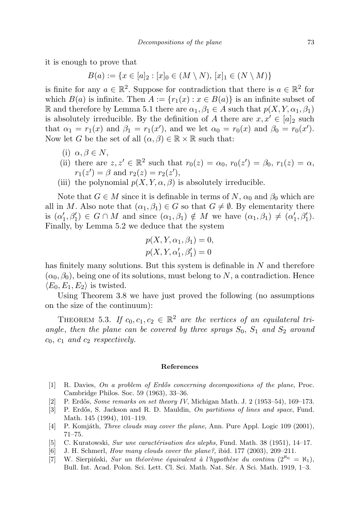it is enough to prove that

$$
B(a) := \{ x \in [a]_2 : [x]_0 \in (M \setminus N), [x]_1 \in (N \setminus M) \}
$$

is finite for any  $a \in \mathbb{R}^2$ . Suppose for contradiction that there is  $a \in \mathbb{R}^2$  for which  $B(a)$  is infinite. Then  $A := \{r_1(x) : x \in B(a)\}\$ is an infinite subset of R and therefore by Lemma 5.1 there are  $\alpha_1, \beta_1 \in A$  such that  $p(X, Y, \alpha_1, \beta_1)$ is absolutely irreducible. By the definition of A there are  $x, x' \in [a]_2$  such that  $\alpha_1 = r_1(x)$  and  $\beta_1 = r_1(x')$ , and we let  $\alpha_0 = r_0(x)$  and  $\beta_0 = r_0(x')$ . Now let G be the set of all  $(\alpha, \beta) \in \mathbb{R} \times \mathbb{R}$  such that:

- (i)  $\alpha, \beta \in N$ ,
- (ii) there are  $z, z' \in \mathbb{R}^2$  such that  $r_0(z) = \alpha_0$ ,  $r_0(z') = \beta_0$ ,  $r_1(z) = \alpha$ ,  $r_1(z') = \beta$  and  $r_2(z) = r_2(z')$ ,
- (iii) the polynomial  $p(X, Y, \alpha, \beta)$  is absolutely irreducible.

Note that  $G \in M$  since it is definable in terms of N,  $\alpha_0$  and  $\beta_0$  which are all in M. Also note that  $(\alpha_1, \beta_1) \in G$  so that  $G \neq \emptyset$ . By elementarity there is  $(\alpha'_1, \beta'_1) \in G \cap M$  and since  $(\alpha_1, \beta_1) \notin M$  we have  $(\alpha_1, \beta_1) \neq (\alpha'_1, \beta'_1)$ . Finally, by Lemma 5.2 we deduce that the system

$$
p(X, Y, \alpha_1, \beta_1) = 0,
$$
  

$$
p(X, Y, \alpha'_1, \beta'_1) = 0
$$

has finitely many solutions. But this system is definable in N and therefore  $(\alpha_0, \beta_0)$ , being one of its solutions, must belong to N, a contradiction. Hence  $\langle E_0, E_1, E_2 \rangle$  is twisted.

Using Theorem 3.8 we have just proved the following (no assumptions on the size of the continuum):

THEOREM 5.3. If  $c_0, c_1, c_2 \in \mathbb{R}^2$  are the vertices of an equilateral triangle, then the plane can be covered by three sprays  $S_0$ ,  $S_1$  and  $S_2$  around  $c_0$ ,  $c_1$  and  $c_2$  respectively.

## References

- [1] R. Davies, On a problem of Erdős concerning decompositions of the plane, Proc. Cambridge Philos. Soc. 59 (1963), 33–36.
- [2] P. Erdős, *Some remarks on set theory IV*, Michigan Math. J. 2 (1953–54), 169–173.
- [3] P. Erdős, S. Jackson and R. D. Mauldin, On partitions of lines and space, Fund. Math. 145 (1994), 101–119.
- [4] P. Komjáth, *Three clouds may cover the plane*, Ann. Pure Appl. Logic 109 (2001), 71–75.
- [5] C. Kuratowski, Sur une caractérisation des alephs, Fund. Math. 38 (1951), 14–17.
- [6] J. H. Schmerl, How many clouds cover the plane?, ibid. 177 (2003), 209–211.
- [7] W. Sierpiński, Sur un théorème équivalent à l'hypothèse du continu  $(2^{\aleph_0} = \aleph_1)$ , Bull. Int. Acad. Polon. Sci. Lett. Cl. Sci. Math. Nat. Sér. A Sci. Math. 1919, 1–3.